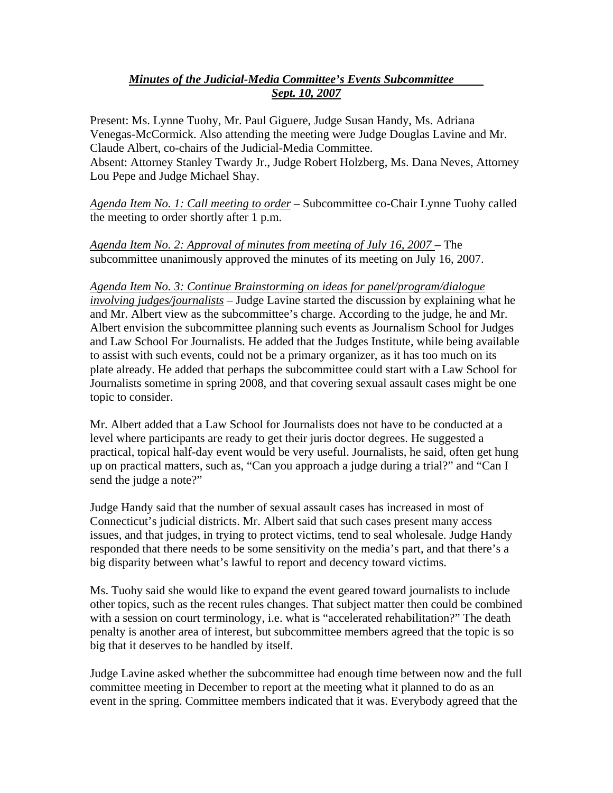## *Minutes of the Judicial-Media Committee's Events Subcommittee Sept. 10, 2007*

Present: Ms. Lynne Tuohy, Mr. Paul Giguere, Judge Susan Handy, Ms. Adriana Venegas-McCormick. Also attending the meeting were Judge Douglas Lavine and Mr. Claude Albert, co-chairs of the Judicial-Media Committee.

Absent: Attorney Stanley Twardy Jr., Judge Robert Holzberg, Ms. Dana Neves, Attorney Lou Pepe and Judge Michael Shay.

*Agenda Item No. 1: Call meeting to order –* Subcommittee co-Chair Lynne Tuohy called the meeting to order shortly after 1 p.m.

Agenda Item No. 2: Approval of minutes from meeting of July 16, 2007 – The subcommittee unanimously approved the minutes of its meeting on July 16, 2007.

## *Agenda Item No. 3: Continue Brainstorming on ideas for panel/program/dialogue*

*involving judges/journalists* – Judge Lavine started the discussion by explaining what he and Mr. Albert view as the subcommittee's charge. According to the judge, he and Mr. Albert envision the subcommittee planning such events as Journalism School for Judges and Law School For Journalists. He added that the Judges Institute, while being available to assist with such events, could not be a primary organizer, as it has too much on its plate already. He added that perhaps the subcommittee could start with a Law School for Journalists sometime in spring 2008, and that covering sexual assault cases might be one topic to consider.

Mr. Albert added that a Law School for Journalists does not have to be conducted at a level where participants are ready to get their juris doctor degrees. He suggested a practical, topical half-day event would be very useful. Journalists, he said, often get hung up on practical matters, such as, "Can you approach a judge during a trial?" and "Can I send the judge a note?"

Judge Handy said that the number of sexual assault cases has increased in most of Connecticut's judicial districts. Mr. Albert said that such cases present many access issues, and that judges, in trying to protect victims, tend to seal wholesale. Judge Handy responded that there needs to be some sensitivity on the media's part, and that there's a big disparity between what's lawful to report and decency toward victims.

Ms. Tuohy said she would like to expand the event geared toward journalists to include other topics, such as the recent rules changes. That subject matter then could be combined with a session on court terminology, i.e. what is "accelerated rehabilitation?" The death penalty is another area of interest, but subcommittee members agreed that the topic is so big that it deserves to be handled by itself.

Judge Lavine asked whether the subcommittee had enough time between now and the full committee meeting in December to report at the meeting what it planned to do as an event in the spring. Committee members indicated that it was. Everybody agreed that the